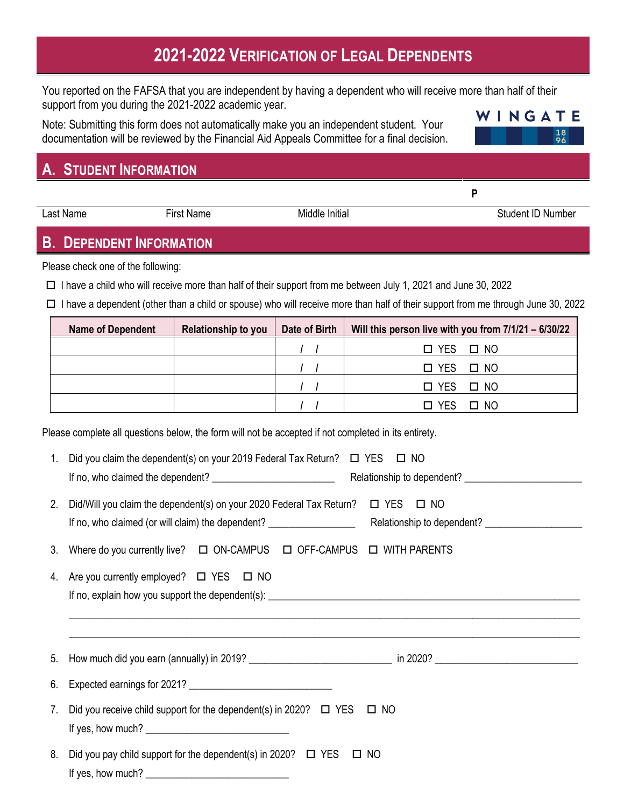# **2021-2022 VERIFICATION OF LEGAL DEPENDENTS**

You reported on the FAFSA that you are independent by having a dependent who will receive more than half of their support from you during the 2021-2022 academic year.

Note: Submitting this form does not automatically make you an independent student. Your documentation will be reviewed by the Financial Aid Appeals Committee for a final decision.

## **A. STUDENT INFORMATION**

**B. DEPENDENT INFORMATION**

Please check one of the following:

 $\Box$  I have a child who will receive more than half of their support from me between July 1, 2021 and June 30, 2022

 $\Box$  I have a dependent (other than a child or spouse) who will receive more than half of their support from me through June 30, 2022

| <b>Name of Dependent</b> | <b>Relationship to you</b> | Date of Birth | Will this person live with you from 7/1/21 - 6/30/22 |
|--------------------------|----------------------------|---------------|------------------------------------------------------|
|                          |                            |               | $\Box$ YES $\Box$ NO                                 |
|                          |                            |               | $\Box$ YES $\Box$ NO                                 |
|                          |                            |               | $\Box$ YES $\Box$ NO                                 |
|                          |                            |               | YFS.<br>$\Box$ NO                                    |

Please complete all questions below, the form will not be accepted if not completed in its entirety.

| 1. | Did you claim the dependent(s) on your 2019 Federal Tax Return? $\Box$ YES $\Box$ NO                                |  |  |  |
|----|---------------------------------------------------------------------------------------------------------------------|--|--|--|
| 2. | Did/Will you claim the dependent(s) on your 2020 Federal Tax Return? $\Box$ YES $\Box$ NO                           |  |  |  |
| 3. | Where do you currently live? $\Box$ ON-CAMPUS $\Box$ OFF-CAMPUS $\Box$ WITH PARENTS                                 |  |  |  |
| 4. | Are you currently employed? $\Box$ YES $\Box$ NO                                                                    |  |  |  |
|    |                                                                                                                     |  |  |  |
| 6. | Expected earnings for 2021?                                                                                         |  |  |  |
| 7. | Did you receive child support for the dependent(s) in 2020? $\Box$ YES $\Box$ NO<br>If yes, how much? $\sqrt{2\pi}$ |  |  |  |
|    | 8 Did vou pou objid support for the dependent(s) in 20202 $\Box$ VES $\Box$ NO                                      |  |  |  |

8. Did you pay child support for the dependent(s) in 2020?  $\Box$  YES  $\Box$  NO If yes, how much?



Last Name First Name First Name Middle Initial Cast Name Student ID Number

**P**